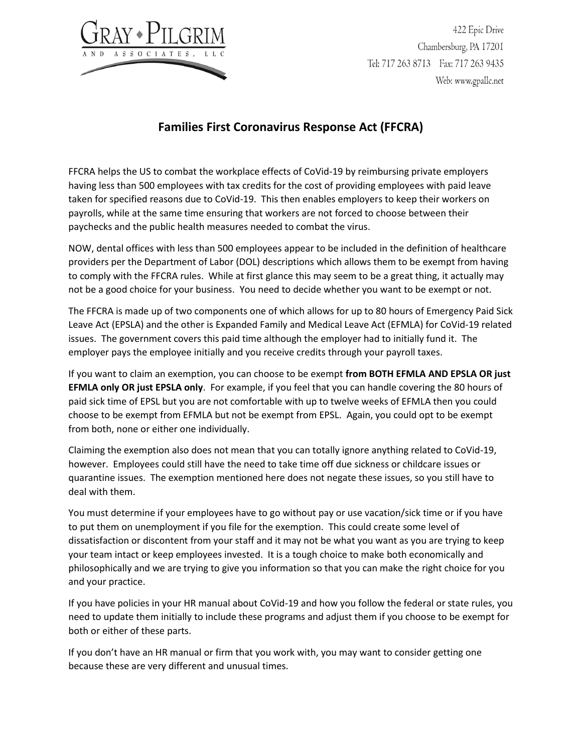

422 Epic Drive Chambersburg, PA 17201 Tel: 717 263 8713 Fax: 717 263 9435 Web: www.gpallc.net

## **Families First Coronavirus Response Act (FFCRA)**

FFCRA helps the US to combat the workplace effects of CoVid-19 by reimbursing private employers having less than 500 employees with tax credits for the cost of providing employees with paid leave taken for specified reasons due to CoVid-19. This then enables employers to keep their workers on payrolls, while at the same time ensuring that workers are not forced to choose between their paychecks and the public health measures needed to combat the virus.

NOW, dental offices with less than 500 employees appear to be included in the definition of healthcare providers per the Department of Labor (DOL) descriptions which allows them to be exempt from having to comply with the FFCRA rules. While at first glance this may seem to be a great thing, it actually may not be a good choice for your business. You need to decide whether you want to be exempt or not.

The FFCRA is made up of two components one of which allows for up to 80 hours of Emergency Paid Sick Leave Act (EPSLA) and the other is Expanded Family and Medical Leave Act (EFMLA) for CoVid-19 related issues. The government covers this paid time although the employer had to initially fund it. The employer pays the employee initially and you receive credits through your payroll taxes.

If you want to claim an exemption, you can choose to be exempt **from BOTH EFMLA AND EPSLA OR just EFMLA only OR just EPSLA only**. For example, if you feel that you can handle covering the 80 hours of paid sick time of EPSL but you are not comfortable with up to twelve weeks of EFMLA then you could choose to be exempt from EFMLA but not be exempt from EPSL. Again, you could opt to be exempt from both, none or either one individually.

Claiming the exemption also does not mean that you can totally ignore anything related to CoVid-19, however. Employees could still have the need to take time off due sickness or childcare issues or quarantine issues. The exemption mentioned here does not negate these issues, so you still have to deal with them.

You must determine if your employees have to go without pay or use vacation/sick time or if you have to put them on unemployment if you file for the exemption. This could create some level of dissatisfaction or discontent from your staff and it may not be what you want as you are trying to keep your team intact or keep employees invested. It is a tough choice to make both economically and philosophically and we are trying to give you information so that you can make the right choice for you and your practice.

If you have policies in your HR manual about CoVid-19 and how you follow the federal or state rules, you need to update them initially to include these programs and adjust them if you choose to be exempt for both or either of these parts.

If you don't have an HR manual or firm that you work with, you may want to consider getting one because these are very different and unusual times.